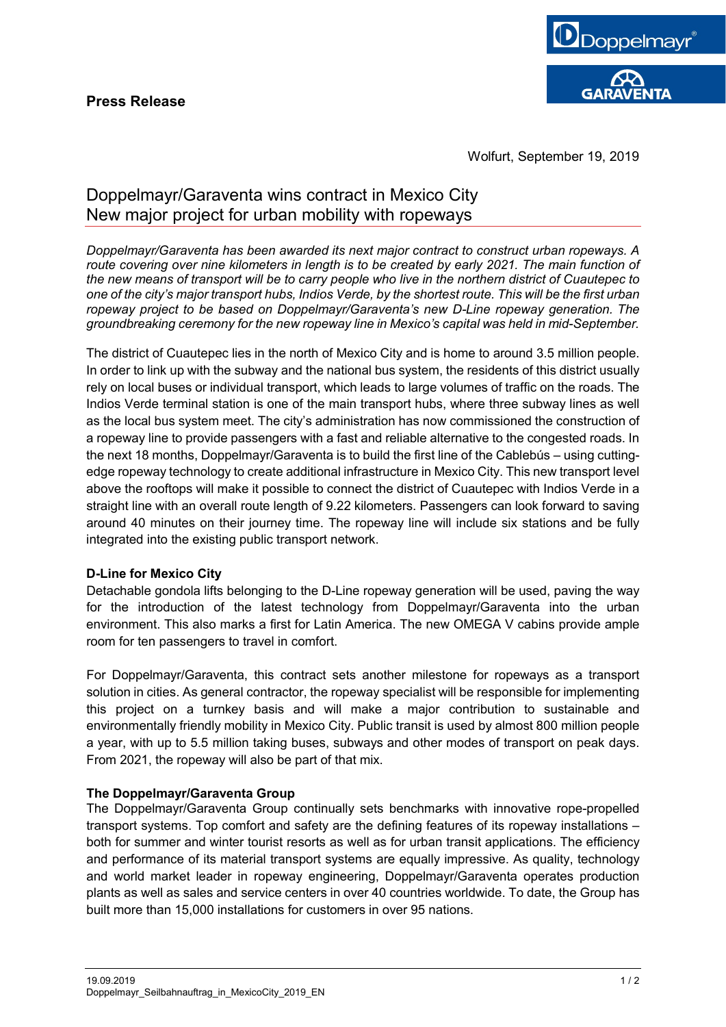

Wolfurt, September 19, 2019

# Doppelmayr/Garaventa wins contract in Mexico City New major project for urban mobility with ropeways

*Doppelmayr/Garaventa has been awarded its next major contract to construct urban ropeways. A route covering over nine kilometers in length is to be created by early 2021. The main function of the new means of transport will be to carry people who live in the northern district of Cuautepec to one of the city's major transport hubs, Indios Verde, by the shortest route. This will be the first urban ropeway project to be based on Doppelmayr/Garaventa's new D-Line ropeway generation. The groundbreaking ceremony for the new ropeway line in Mexico's capital was held in mid-September.*

The district of Cuautepec lies in the north of Mexico City and is home to around 3.5 million people. In order to link up with the subway and the national bus system, the residents of this district usually rely on local buses or individual transport, which leads to large volumes of traffic on the roads. The Indios Verde terminal station is one of the main transport hubs, where three subway lines as well as the local bus system meet. The city's administration has now commissioned the construction of a ropeway line to provide passengers with a fast and reliable alternative to the congested roads. In the next 18 months, Doppelmayr/Garaventa is to build the first line of the Cablebús – using cuttingedge ropeway technology to create additional infrastructure in Mexico City. This new transport level above the rooftops will make it possible to connect the district of Cuautepec with Indios Verde in a straight line with an overall route length of 9.22 kilometers. Passengers can look forward to saving around 40 minutes on their journey time. The ropeway line will include six stations and be fully integrated into the existing public transport network.

### **D-Line for Mexico City**

Detachable gondola lifts belonging to the D-Line ropeway generation will be used, paving the way for the introduction of the latest technology from Doppelmayr/Garaventa into the urban environment. This also marks a first for Latin America. The new OMEGA V cabins provide ample room for ten passengers to travel in comfort.

For Doppelmayr/Garaventa, this contract sets another milestone for ropeways as a transport solution in cities. As general contractor, the ropeway specialist will be responsible for implementing this project on a turnkey basis and will make a major contribution to sustainable and environmentally friendly mobility in Mexico City. Public transit is used by almost 800 million people a year, with up to 5.5 million taking buses, subways and other modes of transport on peak days. From 2021, the ropeway will also be part of that mix.

### **The Doppelmayr/Garaventa Group**

The Doppelmayr/Garaventa Group continually sets benchmarks with innovative rope-propelled transport systems. Top comfort and safety are the defining features of its ropeway installations – both for summer and winter tourist resorts as well as for urban transit applications. The efficiency and performance of its material transport systems are equally impressive. As quality, technology and world market leader in ropeway engineering, Doppelmayr/Garaventa operates production plants as well as sales and service centers in over 40 countries worldwide. To date, the Group has built more than 15,000 installations for customers in over 95 nations.